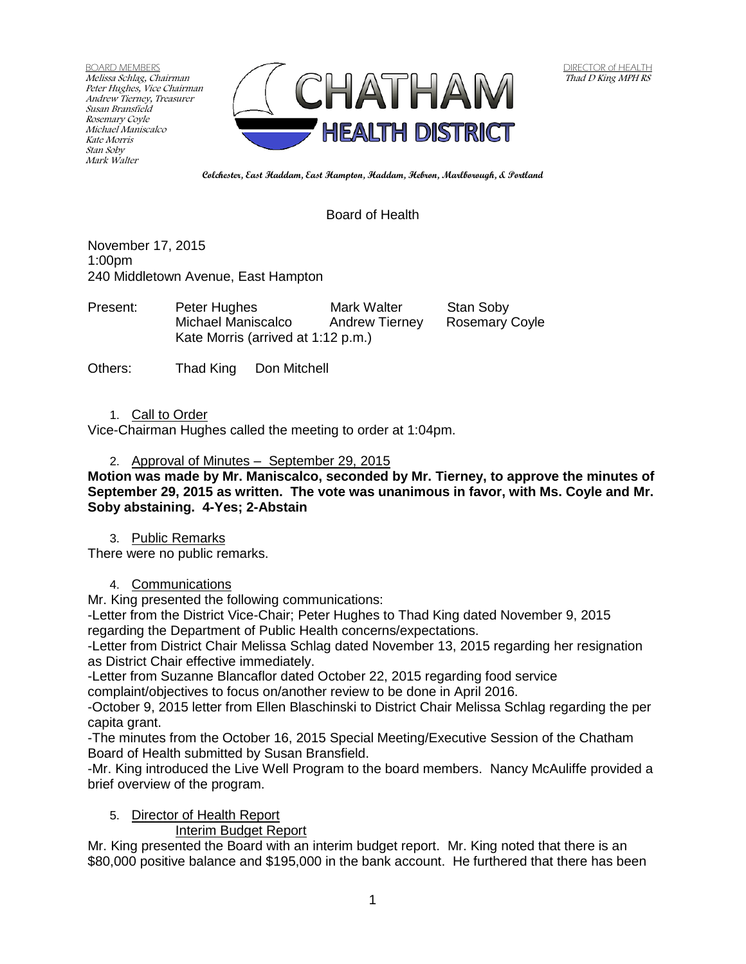BOARD MEMBERS Melissa Schlag, Chairman Peter Hughes, Vice Chairman Andrew Tierney, Treasurer Susan Bransfield Rosemary Coyle Michael Maniscalco Kate Morris Stan Soby Mark Walter



**Colchester, East Haddam, East Hampton, Haddam, Hebron, Marlborough, & Portland**

## Board of Health

November 17, 2015 1:00pm 240 Middletown Avenue, East Hampton

| Present: | Peter Hughes                       | Mark Walter           | Stan Soby             |
|----------|------------------------------------|-----------------------|-----------------------|
|          | Michael Maniscalco                 | <b>Andrew Tierney</b> | <b>Rosemary Coyle</b> |
|          | Kate Morris (arrived at 1:12 p.m.) |                       |                       |

Others: Thad King Don Mitchell

#### 1. Call to Order

Vice-Chairman Hughes called the meeting to order at 1:04pm.

#### 2. Approval of Minutes – September 29, 2015

**Motion was made by Mr. Maniscalco, seconded by Mr. Tierney, to approve the minutes of September 29, 2015 as written. The vote was unanimous in favor, with Ms. Coyle and Mr. Soby abstaining. 4-Yes; 2-Abstain**

#### 3. Public Remarks

There were no public remarks.

### 4. Communications

Mr. King presented the following communications:

-Letter from the District Vice-Chair; Peter Hughes to Thad King dated November 9, 2015 regarding the Department of Public Health concerns/expectations.

-Letter from District Chair Melissa Schlag dated November 13, 2015 regarding her resignation as District Chair effective immediately.

-Letter from Suzanne Blancaflor dated October 22, 2015 regarding food service complaint/objectives to focus on/another review to be done in April 2016.

-October 9, 2015 letter from Ellen Blaschinski to District Chair Melissa Schlag regarding the per capita grant.

-The minutes from the October 16, 2015 Special Meeting/Executive Session of the Chatham Board of Health submitted by Susan Bransfield.

-Mr. King introduced the Live Well Program to the board members. Nancy McAuliffe provided a brief overview of the program.

### 5. Director of Health Report

### Interim Budget Report

Mr. King presented the Board with an interim budget report. Mr. King noted that there is an \$80,000 positive balance and \$195,000 in the bank account. He furthered that there has been